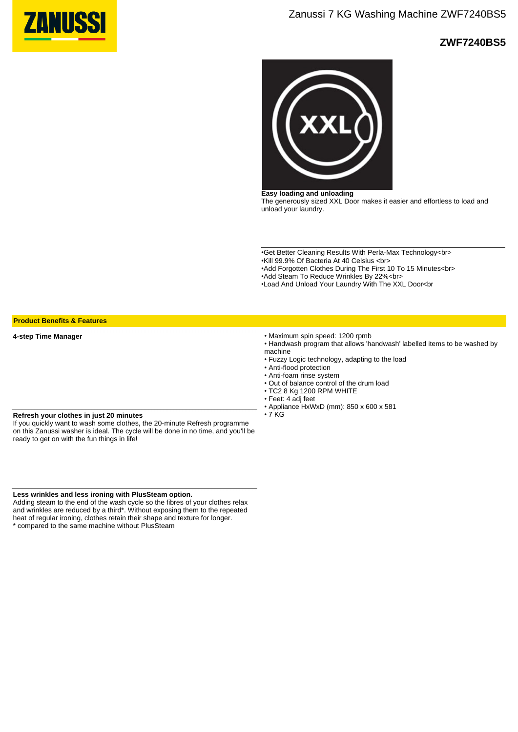

## **ZWF7240BS5**



**Easy loading and unloading** The generously sized XXL Door makes it easier and effortless to load and unload your laundry.

•Get Better Cleaning Results With Perla-Max Technology<br> •Kill 99.9% Of Bacteria At 40 Celsius <br>

- •Add Forgotten Clothes During The First 10 To 15 Minutes<br>
- •Add Steam To Reduce Wrinkles By 22%<br>
- •Load And Unload Your Laundry With The XXL Door<br

**Product Benefits & Features**

**4-step Time Manager**

• Maximum spin speed: 1200 rpmb

- Handwash program that allows 'handwash' labelled items to be washed by machine
- Fuzzy Logic technology, adapting to the load
- Anti-flood protection
- Anti-foam rinse system
- Out of balance control of the drum load
- TC2 8 Kg 1200 RPM WHITE
- Feet: 4 adj feet
- Appliance HxWxD (mm): 850 x 600 x 581  $\cdot$  7 KG

## **Refresh your clothes in just 20 minutes**

If you quickly want to wash some clothes, the 20-minute Refresh programme on this Zanussi washer is ideal. The cycle will be done in no time, and you'll be ready to get on with the fun things in life!

**Less wrinkles and less ironing with PlusSteam option.**

Adding steam to the end of the wash cycle so the fibres of your clothes relax and wrinkles are reduced by a third\*. Without exposing them to the repeated heat of regular ironing, clothes retain their shape and texture for longer. \* compared to the same machine without PlusSteam